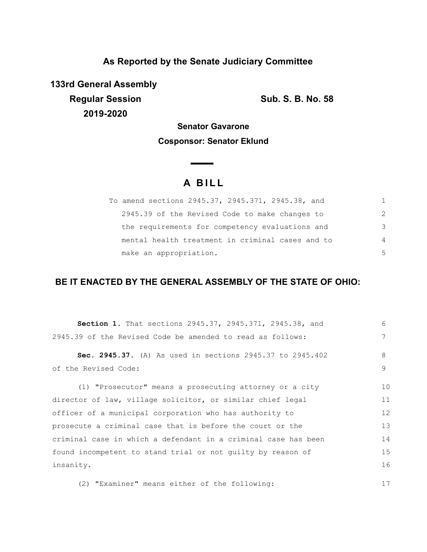# **As Reported by the Senate Judiciary Committee**

**133rd General Assembly Regular Session Sub. S. B. No. 58 2019-2020**

# **Senator Gavarone Cosponsor: Senator Eklund**

 $\overline{\phantom{a}}$ 

# **A B I L L**

| To amend sections 2945.37, 2945.371, 2945.38, and |               |
|---------------------------------------------------|---------------|
| 2945.39 of the Revised Code to make changes to    | $\mathcal{P}$ |
| the requirements for competency evaluations and   | 3             |
| mental health treatment in criminal cases and to  | 4             |
| make an appropriation.                            | .5            |

# **BE IT ENACTED BY THE GENERAL ASSEMBLY OF THE STATE OF OHIO:**

| Section 1. That sections 2945.37, 2945.371, 2945.38, and         | 6  |
|------------------------------------------------------------------|----|
| 2945.39 of the Revised Code be amended to read as follows:       | 7  |
| <b>Sec. 2945.37.</b> (A) As used in sections 2945.37 to 2945.402 | 8  |
| of the Revised Code:                                             | 9  |
|                                                                  |    |
| (1) "Prosecutor" means a prosecuting attorney or a city          | 10 |
| director of law, village solicitor, or similar chief legal       | 11 |
| officer of a municipal corporation who has authority to          |    |
| prosecute a criminal case that is before the court or the        |    |
| criminal case in which a defendant in a criminal case has been   |    |
| found incompetent to stand trial or not guilty by reason of      | 15 |
| insanity.                                                        | 16 |
| (2) "Examiner" means either of the following:                    | 17 |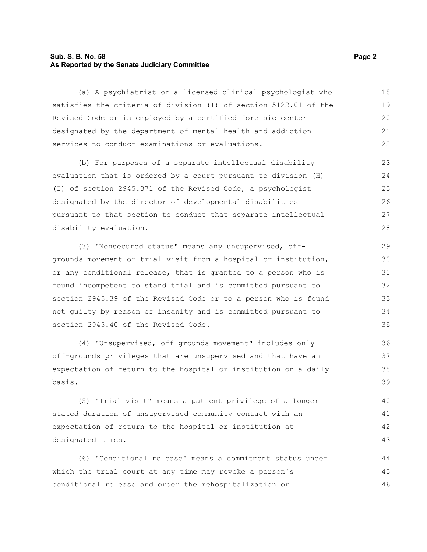#### **Sub. S. B. No. 58 Page 2 As Reported by the Senate Judiciary Committee**

(a) A psychiatrist or a licensed clinical psychologist who satisfies the criteria of division (I) of section 5122.01 of the Revised Code or is employed by a certified forensic center designated by the department of mental health and addiction services to conduct examinations or evaluations. 18 19  $20$ 21 22

(b) For purposes of a separate intellectual disability evaluation that is ordered by a court pursuant to division  $(H)$ (I) of section 2945.371 of the Revised Code, a psychologist designated by the director of developmental disabilities pursuant to that section to conduct that separate intellectual disability evaluation.

(3) "Nonsecured status" means any unsupervised, offgrounds movement or trial visit from a hospital or institution, or any conditional release, that is granted to a person who is found incompetent to stand trial and is committed pursuant to section 2945.39 of the Revised Code or to a person who is found not guilty by reason of insanity and is committed pursuant to section 2945.40 of the Revised Code.

(4) "Unsupervised, off-grounds movement" includes only off-grounds privileges that are unsupervised and that have an expectation of return to the hospital or institution on a daily basis.

(5) "Trial visit" means a patient privilege of a longer stated duration of unsupervised community contact with an expectation of return to the hospital or institution at designated times. 40 41 42 43

(6) "Conditional release" means a commitment status under which the trial court at any time may revoke a person's conditional release and order the rehospitalization or 44 45 46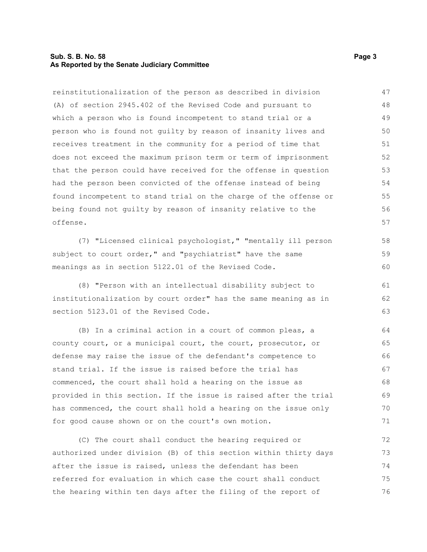#### **Sub. S. B. No. 58 Page 3 As Reported by the Senate Judiciary Committee**

reinstitutionalization of the person as described in division (A) of section 2945.402 of the Revised Code and pursuant to which a person who is found incompetent to stand trial or a person who is found not guilty by reason of insanity lives and receives treatment in the community for a period of time that does not exceed the maximum prison term or term of imprisonment that the person could have received for the offense in question had the person been convicted of the offense instead of being found incompetent to stand trial on the charge of the offense or being found not guilty by reason of insanity relative to the offense. 47 48 49 50 51 52 53 54 55 56 57

(7) "Licensed clinical psychologist," "mentally ill person subject to court order," and "psychiatrist" have the same meanings as in section 5122.01 of the Revised Code.

(8) "Person with an intellectual disability subject to institutionalization by court order" has the same meaning as in section 5123.01 of the Revised Code.

(B) In a criminal action in a court of common pleas, a county court, or a municipal court, the court, prosecutor, or defense may raise the issue of the defendant's competence to stand trial. If the issue is raised before the trial has commenced, the court shall hold a hearing on the issue as provided in this section. If the issue is raised after the trial has commenced, the court shall hold a hearing on the issue only for good cause shown or on the court's own motion. 64 65 66 67 68 69 70 71

(C) The court shall conduct the hearing required or authorized under division (B) of this section within thirty days after the issue is raised, unless the defendant has been referred for evaluation in which case the court shall conduct the hearing within ten days after the filing of the report of 72 73 74 75 76

58 59 60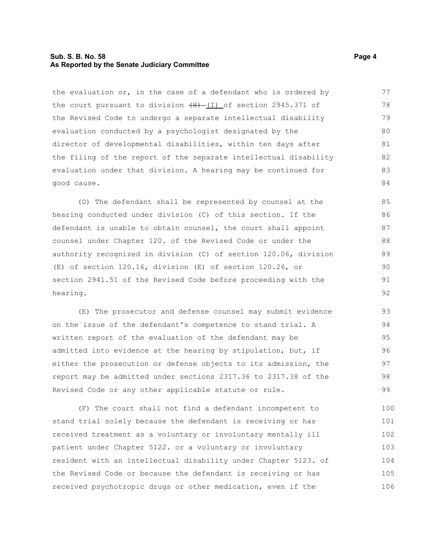#### **Sub. S. B. No. 58 Page 4 As Reported by the Senate Judiciary Committee**

the evaluation or, in the case of a defendant who is ordered by the court pursuant to division  $(H)$  (I) of section 2945.371 of the Revised Code to undergo a separate intellectual disability evaluation conducted by a psychologist designated by the director of developmental disabilities, within ten days after the filing of the report of the separate intellectual disability evaluation under that division. A hearing may be continued for good cause. 77 78 79 80 81 82 83 84

(D) The defendant shall be represented by counsel at the hearing conducted under division (C) of this section. If the defendant is unable to obtain counsel, the court shall appoint counsel under Chapter 120. of the Revised Code or under the authority recognized in division (C) of section 120.06, division (E) of section 120.16, division (E) of section 120.26, or section 2941.51 of the Revised Code before proceeding with the hearing.

(E) The prosecutor and defense counsel may submit evidence on the issue of the defendant's competence to stand trial. A written report of the evaluation of the defendant may be admitted into evidence at the hearing by stipulation, but, if either the prosecution or defense objects to its admission, the report may be admitted under sections 2317.36 to 2317.38 of the Revised Code or any other applicable statute or rule. 93 94 95 96 97 98 99

(F) The court shall not find a defendant incompetent to stand trial solely because the defendant is receiving or has received treatment as a voluntary or involuntary mentally ill patient under Chapter 5122. or a voluntary or involuntary resident with an intellectual disability under Chapter 5123. of the Revised Code or because the defendant is receiving or has received psychotropic drugs or other medication, even if the 100 101 102 103 104 105 106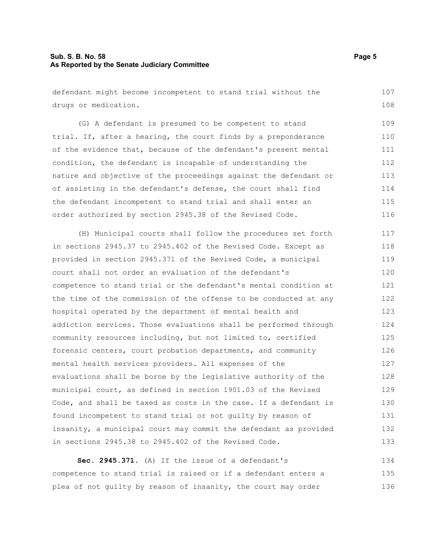#### **Sub. S. B. No. 58 Page 5 As Reported by the Senate Judiciary Committee**

defendant might become incompetent to stand trial without the drugs or medication. 107 108

(G) A defendant is presumed to be competent to stand trial. If, after a hearing, the court finds by a preponderance of the evidence that, because of the defendant's present mental condition, the defendant is incapable of understanding the nature and objective of the proceedings against the defendant or of assisting in the defendant's defense, the court shall find the defendant incompetent to stand trial and shall enter an order authorized by section 2945.38 of the Revised Code. 109 110 111 112 113 114 115 116

(H) Municipal courts shall follow the procedures set forth in sections 2945.37 to 2945.402 of the Revised Code. Except as provided in section 2945.371 of the Revised Code, a municipal court shall not order an evaluation of the defendant's competence to stand trial or the defendant's mental condition at the time of the commission of the offense to be conducted at any hospital operated by the department of mental health and addiction services. Those evaluations shall be performed through community resources including, but not limited to, certified forensic centers, court probation departments, and community mental health services providers. All expenses of the evaluations shall be borne by the legislative authority of the municipal court, as defined in section 1901.03 of the Revised Code, and shall be taxed as costs in the case. If a defendant is found incompetent to stand trial or not guilty by reason of insanity, a municipal court may commit the defendant as provided in sections 2945.38 to 2945.402 of the Revised Code. 117 118 119 120 121 122 123 124 125 126 127 128 129 130 131 132 133

**Sec. 2945.371.** (A) If the issue of a defendant's competence to stand trial is raised or if a defendant enters a plea of not guilty by reason of insanity, the court may order 134 135 136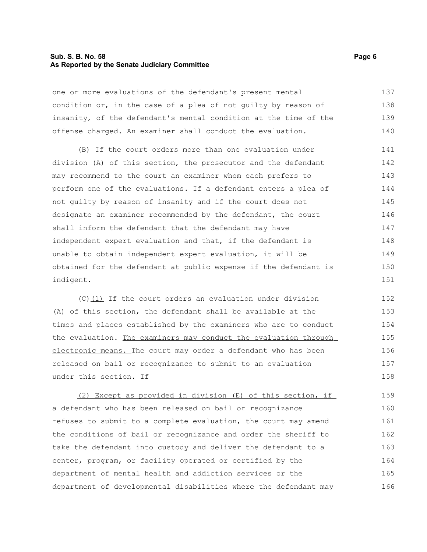#### **Sub. S. B. No. 58 Page 6 As Reported by the Senate Judiciary Committee**

one or more evaluations of the defendant's present mental condition or, in the case of a plea of not guilty by reason of insanity, of the defendant's mental condition at the time of the offense charged. An examiner shall conduct the evaluation. 137 138 139 140

(B) If the court orders more than one evaluation under division (A) of this section, the prosecutor and the defendant may recommend to the court an examiner whom each prefers to perform one of the evaluations. If a defendant enters a plea of not guilty by reason of insanity and if the court does not designate an examiner recommended by the defendant, the court shall inform the defendant that the defendant may have independent expert evaluation and that, if the defendant is unable to obtain independent expert evaluation, it will be obtained for the defendant at public expense if the defendant is indigent. 141 142 143 144 145 146 147 148 149 150 151

(C)(1) If the court orders an evaluation under division (A) of this section, the defendant shall be available at the times and places established by the examiners who are to conduct the evaluation. The examiners may conduct the evaluation through electronic means. The court may order a defendant who has been released on bail or recognizance to submit to an evaluation under this section. If 152 153 154 155 156 157 158

 (2) Except as provided in division (E) of this section, if a defendant who has been released on bail or recognizance refuses to submit to a complete evaluation, the court may amend the conditions of bail or recognizance and order the sheriff to take the defendant into custody and deliver the defendant to a center, program, or facility operated or certified by the department of mental health and addiction services or the department of developmental disabilities where the defendant may 159 160 161 162 163 164 165 166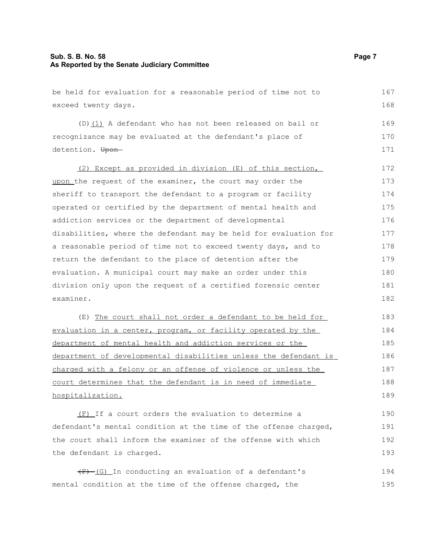## **Sub. S. B. No. 58 Page 7 As Reported by the Senate Judiciary Committee**

| be held for evaluation for a reasonable period of time not to    | 167 |
|------------------------------------------------------------------|-----|
| exceed twenty days.                                              |     |
| (D) (1) A defendant who has not been released on bail or         | 169 |
| recognizance may be evaluated at the defendant's place of        |     |
| detention. Upon-                                                 | 171 |
| (2) Except as provided in division (E) of this section,          | 172 |
| upon the request of the examiner, the court may order the        | 173 |
| sheriff to transport the defendant to a program or facility      | 174 |
| operated or certified by the department of mental health and     | 175 |
| addiction services or the department of developmental            | 176 |
| disabilities, where the defendant may be held for evaluation for | 177 |
| a reasonable period of time not to exceed twenty days, and to    | 178 |
| return the defendant to the place of detention after the         | 179 |
| evaluation. A municipal court may make an order under this       | 180 |
| division only upon the request of a certified forensic center    | 181 |
| examiner.                                                        | 182 |
| (E) The court shall not order a defendant to be held for         | 183 |
| evaluation in a center, program, or facility operated by the     | 184 |
| department of mental health and addiction services or the        | 185 |
| department of developmental disabilities unless the defendant is | 186 |
| charged with a felony or an offense of violence or unless the    | 187 |
| court determines that the defendant is in need of immediate      | 188 |
| hospitalization.                                                 | 189 |
| (F) If a court orders the evaluation to determine a              | 190 |
| defendant's mental condition at the time of the offense charged, | 191 |
| the court shall inform the examiner of the offense with which    | 192 |
| the defendant is charged.                                        | 193 |
| $(F)$ (G) In conducting an evaluation of a defendant's           | 194 |
| mental condition at the time of the offense charged, the         | 195 |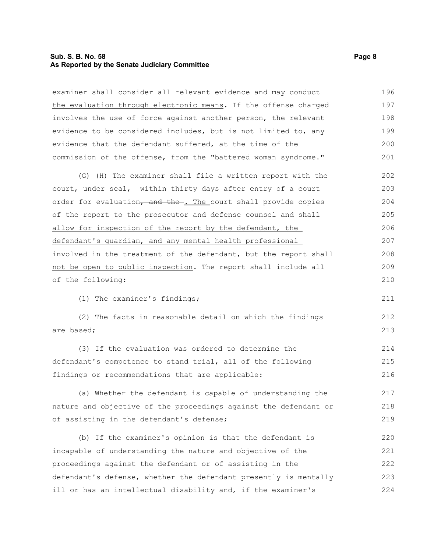## **Sub. S. B. No. 58 Page 8 As Reported by the Senate Judiciary Committee**

| examiner shall consider all relevant evidence and may conduct    | 196 |
|------------------------------------------------------------------|-----|
| the evaluation through electronic means. If the offense charged  | 197 |
| involves the use of force against another person, the relevant   | 198 |
| evidence to be considered includes, but is not limited to, any   | 199 |
| evidence that the defendant suffered, at the time of the         | 200 |
| commission of the offense, from the "battered woman syndrome."   | 201 |
| (G) (H) The examiner shall file a written report with the        | 202 |
| court, under seal, within thirty days after entry of a court     | 203 |
| order for evaluation, and the -. The court shall provide copies  | 204 |
| of the report to the prosecutor and defense counsel and shall    | 205 |
| allow for inspection of the report by the defendant, the         | 206 |
| defendant's quardian, and any mental health professional         | 207 |
| involved in the treatment of the defendant, but the report shall | 208 |
| not be open to public inspection. The report shall include all   | 209 |
| of the following:                                                | 210 |
| (1) The examiner's findings;                                     | 211 |
| (2) The facts in reasonable detail on which the findings         | 212 |
| are based;                                                       | 213 |
| (3) If the evaluation was ordered to determine the               | 214 |
| defendant's competence to stand trial, all of the following      | 215 |
| findings or recommendations that are applicable:                 | 216 |
| (a) Whether the defendant is capable of understanding the        | 217 |
| nature and objective of the proceedings against the defendant or | 218 |
| of assisting in the defendant's defense;                         | 219 |
| (b) If the examiner's opinion is that the defendant is           | 220 |
| incapable of understanding the nature and objective of the       | 221 |
| proceedings against the defendant or of assisting in the         | 222 |
| defendant's defense, whether the defendant presently is mentally | 223 |
| ill or has an intellectual disability and, if the examiner's     | 224 |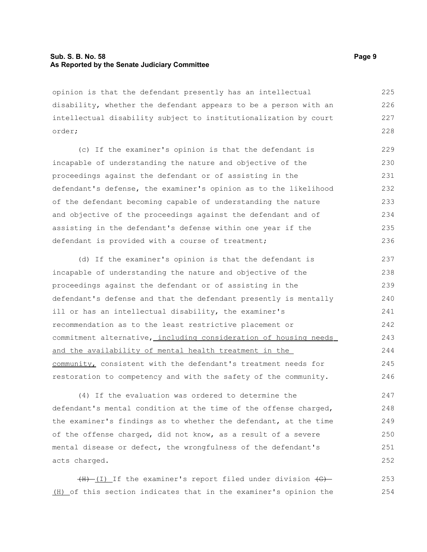#### **Sub. S. B. No. 58 Page 9 As Reported by the Senate Judiciary Committee**

opinion is that the defendant presently has an intellectual disability, whether the defendant appears to be a person with an intellectual disability subject to institutionalization by court order; 225 226 227 228

(c) If the examiner's opinion is that the defendant is incapable of understanding the nature and objective of the proceedings against the defendant or of assisting in the defendant's defense, the examiner's opinion as to the likelihood of the defendant becoming capable of understanding the nature and objective of the proceedings against the defendant and of assisting in the defendant's defense within one year if the defendant is provided with a course of treatment; 229 230 231 232 233 234 235 236

(d) If the examiner's opinion is that the defendant is incapable of understanding the nature and objective of the proceedings against the defendant or of assisting in the defendant's defense and that the defendant presently is mentally ill or has an intellectual disability, the examiner's recommendation as to the least restrictive placement or commitment alternative, including consideration of housing needs and the availability of mental health treatment in the community, consistent with the defendant's treatment needs for restoration to competency and with the safety of the community. 237 238 239 240 241 242 243 244 245 246

(4) If the evaluation was ordered to determine the defendant's mental condition at the time of the offense charged, the examiner's findings as to whether the defendant, at the time of the offense charged, did not know, as a result of a severe mental disease or defect, the wrongfulness of the defendant's acts charged. 247 248 249 250 251 252

 $(H)$  (I) If the examiner's report filed under division  $(G)$ (H) of this section indicates that in the examiner's opinion the 253 254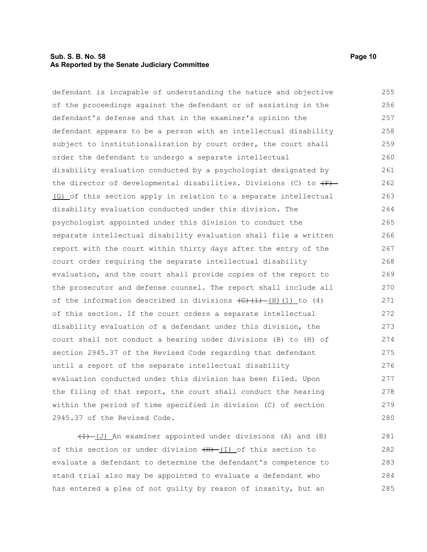#### **Sub. S. B. No. 58 Page 10 As Reported by the Senate Judiciary Committee**

defendant is incapable of understanding the nature and objective of the proceedings against the defendant or of assisting in the defendant's defense and that in the examiner's opinion the defendant appears to be a person with an intellectual disability subject to institutionalization by court order, the court shall order the defendant to undergo a separate intellectual disability evaluation conducted by a psychologist designated by the director of developmental disabilities. Divisions (C) to  $\overline{f}$ (G) of this section apply in relation to a separate intellectual disability evaluation conducted under this division. The psychologist appointed under this division to conduct the separate intellectual disability evaluation shall file a written report with the court within thirty days after the entry of the court order requiring the separate intellectual disability evaluation, and the court shall provide copies of the report to the prosecutor and defense counsel. The report shall include all of the information described in divisions  $\left(\frac{G}{1} + \frac{H}{H}\right)(1)$  to (4) of this section. If the court orders a separate intellectual disability evaluation of a defendant under this division, the court shall not conduct a hearing under divisions (B) to (H) of section 2945.37 of the Revised Code regarding that defendant until a report of the separate intellectual disability evaluation conducted under this division has been filed. Upon the filing of that report, the court shall conduct the hearing within the period of time specified in division (C) of section 2945.37 of the Revised Code. 255 256 257 258 259 260 261 262 263 264 265 266 267 268 269 270 271 272 273 274 275 276 277 278 279 280

 $\overline{(1)}$  (J) An examiner appointed under divisions (A) and (B) of this section or under division  $(H)$  (I) of this section to evaluate a defendant to determine the defendant's competence to stand trial also may be appointed to evaluate a defendant who has entered a plea of not guilty by reason of insanity, but an 281 282 283 284 285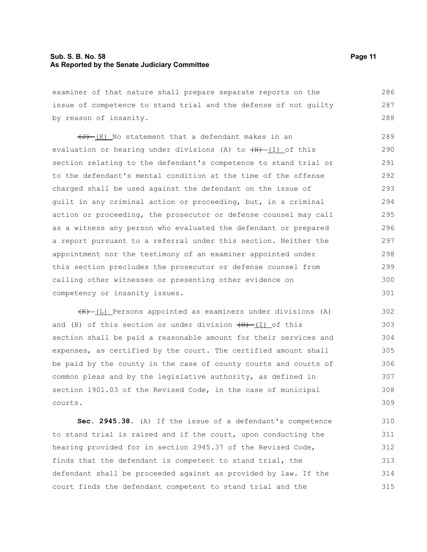#### **Sub. S. B. No. 58 Page 11 As Reported by the Senate Judiciary Committee**

examiner of that nature shall prepare separate reports on the issue of competence to stand trial and the defense of not guilty by reason of insanity. 286 287 288

 $(\overline{J} + \overline{K})$  No statement that a defendant makes in an evaluation or hearing under divisions (A) to  $\frac{H}{H}$  (I) of this section relating to the defendant's competence to stand trial or to the defendant's mental condition at the time of the offense charged shall be used against the defendant on the issue of guilt in any criminal action or proceeding, but, in a criminal action or proceeding, the prosecutor or defense counsel may call as a witness any person who evaluated the defendant or prepared a report pursuant to a referral under this section. Neither the appointment nor the testimony of an examiner appointed under this section precludes the prosecutor or defense counsel from calling other witnesses or presenting other evidence on competency or insanity issues. 289 290 291 292 293 294 295 296 297 298 299 300 301

 $\frac{f(K) - (L)}{L}$  Persons appointed as examiners under divisions (A) and (B) of this section or under division  $(H)$  (I) of this section shall be paid a reasonable amount for their services and expenses, as certified by the court. The certified amount shall be paid by the county in the case of county courts and courts of common pleas and by the legislative authority, as defined in section 1901.03 of the Revised Code, in the case of municipal courts. 302 303 304 305 306 307 308 309

**Sec. 2945.38.** (A) If the issue of a defendant's competence to stand trial is raised and if the court, upon conducting the hearing provided for in section 2945.37 of the Revised Code, finds that the defendant is competent to stand trial, the defendant shall be proceeded against as provided by law. If the court finds the defendant competent to stand trial and the 310 311 312 313 314 315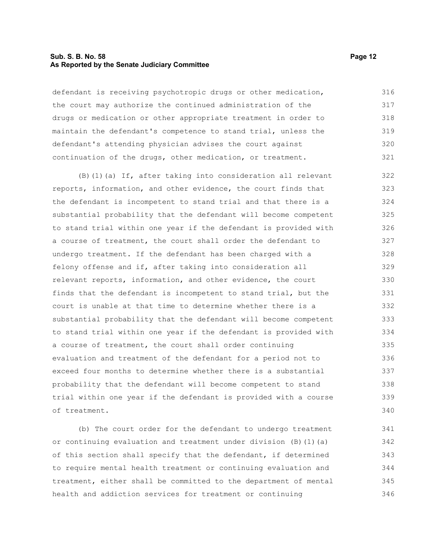#### **Sub. S. B. No. 58 Page 12 As Reported by the Senate Judiciary Committee**

defendant is receiving psychotropic drugs or other medication, the court may authorize the continued administration of the drugs or medication or other appropriate treatment in order to maintain the defendant's competence to stand trial, unless the defendant's attending physician advises the court against continuation of the drugs, other medication, or treatment. 316 317 318 319 320 321

(B)(1)(a) If, after taking into consideration all relevant reports, information, and other evidence, the court finds that the defendant is incompetent to stand trial and that there is a substantial probability that the defendant will become competent to stand trial within one year if the defendant is provided with a course of treatment, the court shall order the defendant to undergo treatment. If the defendant has been charged with a felony offense and if, after taking into consideration all relevant reports, information, and other evidence, the court finds that the defendant is incompetent to stand trial, but the court is unable at that time to determine whether there is a substantial probability that the defendant will become competent to stand trial within one year if the defendant is provided with a course of treatment, the court shall order continuing evaluation and treatment of the defendant for a period not to exceed four months to determine whether there is a substantial probability that the defendant will become competent to stand trial within one year if the defendant is provided with a course of treatment. 322 323 324 325 326 327 328 329 330 331 332 333 334 335 336 337 338 339 340

(b) The court order for the defendant to undergo treatment or continuing evaluation and treatment under division (B)(1)(a) of this section shall specify that the defendant, if determined to require mental health treatment or continuing evaluation and treatment, either shall be committed to the department of mental health and addiction services for treatment or continuing 341 342 343 344 345 346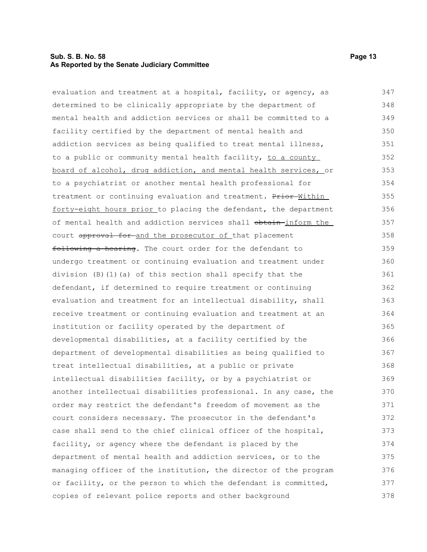#### **Sub. S. B. No. 58 Page 13 As Reported by the Senate Judiciary Committee**

evaluation and treatment at a hospital, facility, or agency, as determined to be clinically appropriate by the department of mental health and addiction services or shall be committed to a facility certified by the department of mental health and addiction services as being qualified to treat mental illness, to a public or community mental health facility, to a county board of alcohol, drug addiction, and mental health services, or to a psychiatrist or another mental health professional for treatment or continuing evaluation and treatment. Prior Within forty-eight hours prior to placing the defendant, the department of mental health and addiction services shall obtain inform the court approval for-and the prosecutor of that placement following a hearing. The court order for the defendant to undergo treatment or continuing evaluation and treatment under division  $(B)$  (1)(a) of this section shall specify that the defendant, if determined to require treatment or continuing evaluation and treatment for an intellectual disability, shall receive treatment or continuing evaluation and treatment at an institution or facility operated by the department of developmental disabilities, at a facility certified by the department of developmental disabilities as being qualified to treat intellectual disabilities, at a public or private intellectual disabilities facility, or by a psychiatrist or another intellectual disabilities professional. In any case, the order may restrict the defendant's freedom of movement as the court considers necessary. The prosecutor in the defendant's case shall send to the chief clinical officer of the hospital, facility, or agency where the defendant is placed by the department of mental health and addiction services, or to the managing officer of the institution, the director of the program or facility, or the person to which the defendant is committed, copies of relevant police reports and other background 347 348 349 350 351 352 353 354 355 356 357 358 359 360 361 362 363 364 365 366 367 368 369 370 371 372 373 374 375 376 377 378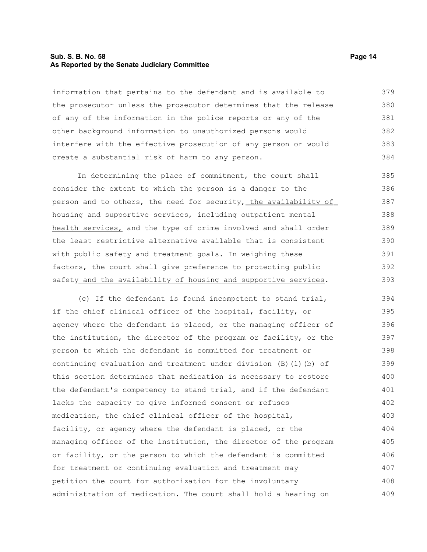#### **Sub. S. B. No. 58 Page 14 As Reported by the Senate Judiciary Committee**

information that pertains to the defendant and is available to the prosecutor unless the prosecutor determines that the release of any of the information in the police reports or any of the other background information to unauthorized persons would interfere with the effective prosecution of any person or would create a substantial risk of harm to any person. 379 380 381 382 383 384

In determining the place of commitment, the court shall consider the extent to which the person is a danger to the person and to others, the need for security, the availability of housing and supportive services, including outpatient mental health services, and the type of crime involved and shall order the least restrictive alternative available that is consistent with public safety and treatment goals. In weighing these factors, the court shall give preference to protecting public safety and the availability of housing and supportive services. 385 386 387 388 389 390 391 392 393

(c) If the defendant is found incompetent to stand trial, if the chief clinical officer of the hospital, facility, or agency where the defendant is placed, or the managing officer of the institution, the director of the program or facility, or the person to which the defendant is committed for treatment or continuing evaluation and treatment under division (B)(1)(b) of this section determines that medication is necessary to restore the defendant's competency to stand trial, and if the defendant lacks the capacity to give informed consent or refuses medication, the chief clinical officer of the hospital, facility, or agency where the defendant is placed, or the managing officer of the institution, the director of the program or facility, or the person to which the defendant is committed for treatment or continuing evaluation and treatment may petition the court for authorization for the involuntary administration of medication. The court shall hold a hearing on 394 395 396 397 398 399 400 401 402 403 404 405 406 407 408 409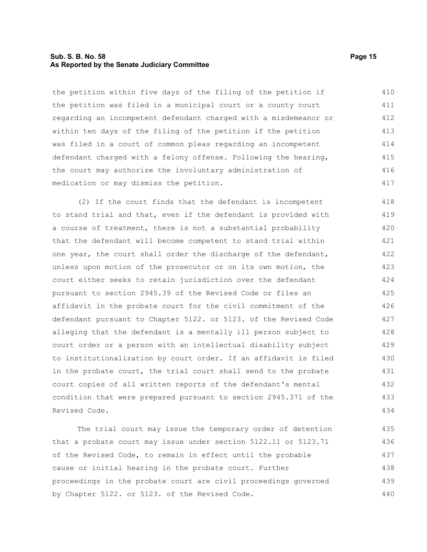#### **Sub. S. B. No. 58 Page 15 As Reported by the Senate Judiciary Committee**

the petition within five days of the filing of the petition if the petition was filed in a municipal court or a county court regarding an incompetent defendant charged with a misdemeanor or within ten days of the filing of the petition if the petition was filed in a court of common pleas regarding an incompetent defendant charged with a felony offense. Following the hearing, the court may authorize the involuntary administration of medication or may dismiss the petition. 410 411 412 413 414 415 416 417

(2) If the court finds that the defendant is incompetent to stand trial and that, even if the defendant is provided with a course of treatment, there is not a substantial probability that the defendant will become competent to stand trial within one year, the court shall order the discharge of the defendant, unless upon motion of the prosecutor or on its own motion, the court either seeks to retain jurisdiction over the defendant pursuant to section 2945.39 of the Revised Code or files an affidavit in the probate court for the civil commitment of the defendant pursuant to Chapter 5122. or 5123. of the Revised Code alleging that the defendant is a mentally ill person subject to court order or a person with an intellectual disability subject to institutionalization by court order. If an affidavit is filed in the probate court, the trial court shall send to the probate court copies of all written reports of the defendant's mental condition that were prepared pursuant to section 2945.371 of the Revised Code. 418 419 420 421 422 423 424 425 426 427 428 429 430 431 432 433 434

The trial court may issue the temporary order of detention that a probate court may issue under section 5122.11 or 5123.71 of the Revised Code, to remain in effect until the probable cause or initial hearing in the probate court. Further proceedings in the probate court are civil proceedings governed by Chapter 5122. or 5123. of the Revised Code. 435 436 437 438 439 440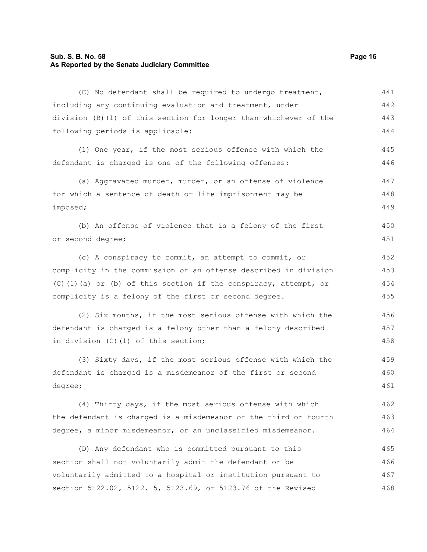## **Sub. S. B. No. 58 Page 16 As Reported by the Senate Judiciary Committee**

| (C) No defendant shall be required to undergo treatment,         | 441 |
|------------------------------------------------------------------|-----|
| including any continuing evaluation and treatment, under         | 442 |
| division (B)(1) of this section for longer than whichever of the | 443 |
| following periods is applicable:                                 | 444 |
| (1) One year, if the most serious offense with which the         | 445 |
| defendant is charged is one of the following offenses:           | 446 |
| (a) Aggravated murder, murder, or an offense of violence         | 447 |
| for which a sentence of death or life imprisonment may be        | 448 |
| imposed;                                                         | 449 |
| (b) An offense of violence that is a felony of the first         | 450 |
| or second degree;                                                | 451 |
| (c) A conspiracy to commit, an attempt to commit, or             | 452 |
| complicity in the commission of an offense described in division | 453 |
| (C)(1)(a) or (b) of this section if the conspiracy, attempt, or  | 454 |
| complicity is a felony of the first or second degree.            | 455 |
| (2) Six months, if the most serious offense with which the       | 456 |
| defendant is charged is a felony other than a felony described   | 457 |
| in division (C) (1) of this section;                             |     |
| (3) Sixty days, if the most serious offense with which the       | 459 |
| defendant is charged is a misdemeanor of the first or second     | 460 |
| degree;                                                          | 461 |
| (4) Thirty days, if the most serious offense with which          | 462 |
| the defendant is charged is a misdemeanor of the third or fourth | 463 |
| degree, a minor misdemeanor, or an unclassified misdemeanor.     | 464 |
| (D) Any defendant who is committed pursuant to this              | 465 |
| section shall not voluntarily admit the defendant or be          | 466 |
| voluntarily admitted to a hospital or institution pursuant to    | 467 |
| section 5122.02, 5122.15, 5123.69, or 5123.76 of the Revised     | 468 |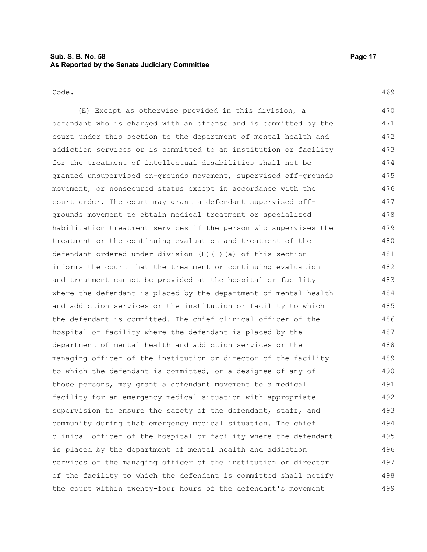## **Sub. S. B. No. 58 Page 17 As Reported by the Senate Judiciary Committee**

Code.

| (E) Except as otherwise provided in this division, a               | 470 |
|--------------------------------------------------------------------|-----|
| defendant who is charged with an offense and is committed by the   | 471 |
| court under this section to the department of mental health and    | 472 |
| addiction services or is committed to an institution or facility   | 473 |
| for the treatment of intellectual disabilities shall not be        | 474 |
| granted unsupervised on-grounds movement, supervised off-grounds   | 475 |
| movement, or nonsecured status except in accordance with the       | 476 |
| court order. The court may grant a defendant supervised off-       | 477 |
| grounds movement to obtain medical treatment or specialized        | 478 |
| habilitation treatment services if the person who supervises the   | 479 |
| treatment or the continuing evaluation and treatment of the        | 480 |
| defendant ordered under division $(B)$ $(1)$ $(a)$ of this section | 481 |
| informs the court that the treatment or continuing evaluation      | 482 |
| and treatment cannot be provided at the hospital or facility       | 483 |
| where the defendant is placed by the department of mental health   | 484 |
| and addiction services or the institution or facility to which     | 485 |
| the defendant is committed. The chief clinical officer of the      | 486 |
| hospital or facility where the defendant is placed by the          | 487 |
| department of mental health and addiction services or the          | 488 |
| managing officer of the institution or director of the facility    | 489 |
| to which the defendant is committed, or a designee of any of       | 490 |
| those persons, may grant a defendant movement to a medical         | 491 |
| facility for an emergency medical situation with appropriate       | 492 |
| supervision to ensure the safety of the defendant, staff, and      | 493 |
| community during that emergency medical situation. The chief       | 494 |
| clinical officer of the hospital or facility where the defendant   | 495 |
| is placed by the department of mental health and addiction         | 496 |
| services or the managing officer of the institution or director    | 497 |
| of the facility to which the defendant is committed shall notify   | 498 |
| the court within twenty-four hours of the defendant's movement     | 499 |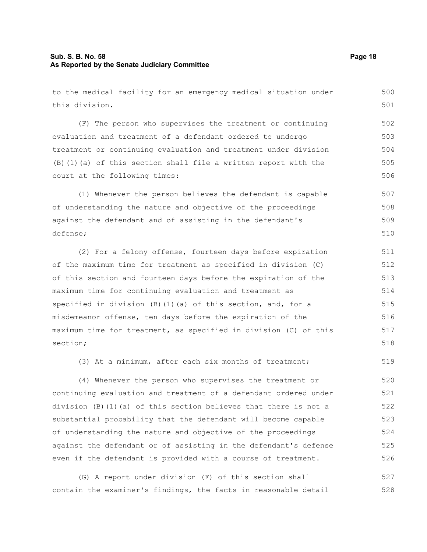#### **Sub. S. B. No. 58 Page 18 As Reported by the Senate Judiciary Committee**

to the medical facility for an emergency medical situation under this division.

(F) The person who supervises the treatment or continuing evaluation and treatment of a defendant ordered to undergo treatment or continuing evaluation and treatment under division (B)(1)(a) of this section shall file a written report with the court at the following times: 502 503 504 505 506

(1) Whenever the person believes the defendant is capable of understanding the nature and objective of the proceedings against the defendant and of assisting in the defendant's defense; 507 508 509 510

(2) For a felony offense, fourteen days before expiration of the maximum time for treatment as specified in division (C) of this section and fourteen days before the expiration of the maximum time for continuing evaluation and treatment as specified in division (B)(1)(a) of this section, and, for a misdemeanor offense, ten days before the expiration of the maximum time for treatment, as specified in division (C) of this section; 511 512 513 514 515 516 517 518

(3) At a minimum, after each six months of treatment;

(4) Whenever the person who supervises the treatment or continuing evaluation and treatment of a defendant ordered under division (B)(1)(a) of this section believes that there is not a substantial probability that the defendant will become capable of understanding the nature and objective of the proceedings against the defendant or of assisting in the defendant's defense even if the defendant is provided with a course of treatment. 520 521 522 523 524 525 526

(G) A report under division (F) of this section shall contain the examiner's findings, the facts in reasonable detail 527 528

500 501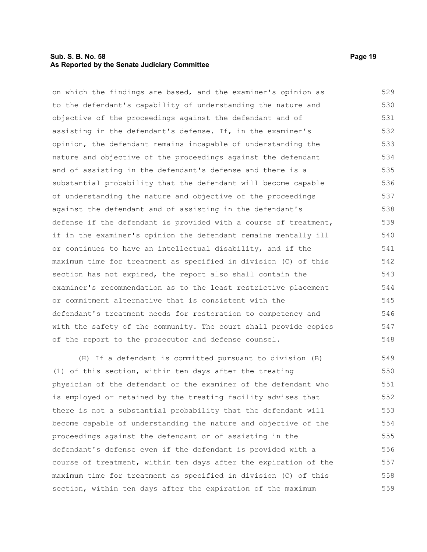#### **Sub. S. B. No. 58 Page 19 As Reported by the Senate Judiciary Committee**

on which the findings are based, and the examiner's opinion as to the defendant's capability of understanding the nature and objective of the proceedings against the defendant and of assisting in the defendant's defense. If, in the examiner's opinion, the defendant remains incapable of understanding the nature and objective of the proceedings against the defendant and of assisting in the defendant's defense and there is a substantial probability that the defendant will become capable of understanding the nature and objective of the proceedings against the defendant and of assisting in the defendant's defense if the defendant is provided with a course of treatment, if in the examiner's opinion the defendant remains mentally ill or continues to have an intellectual disability, and if the maximum time for treatment as specified in division (C) of this section has not expired, the report also shall contain the examiner's recommendation as to the least restrictive placement or commitment alternative that is consistent with the defendant's treatment needs for restoration to competency and with the safety of the community. The court shall provide copies of the report to the prosecutor and defense counsel. 529 530 531 532 533 534 535 536 537 538 539 540 541 542 543 544 545 546 547 548

(H) If a defendant is committed pursuant to division (B) (1) of this section, within ten days after the treating physician of the defendant or the examiner of the defendant who is employed or retained by the treating facility advises that there is not a substantial probability that the defendant will become capable of understanding the nature and objective of the proceedings against the defendant or of assisting in the defendant's defense even if the defendant is provided with a course of treatment, within ten days after the expiration of the maximum time for treatment as specified in division (C) of this section, within ten days after the expiration of the maximum 549 550 551 552 553 554 555 556 557 558 559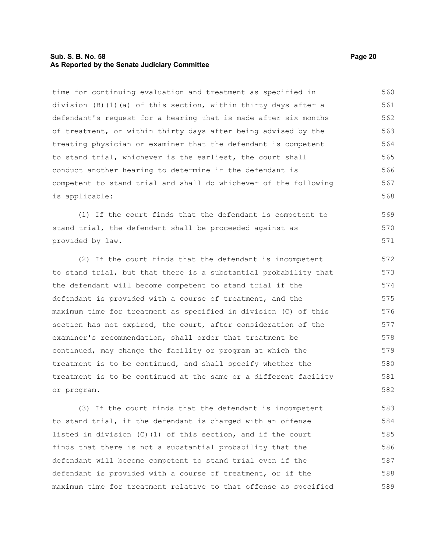#### **Sub. S. B. No. 58 Page 20 As Reported by the Senate Judiciary Committee**

time for continuing evaluation and treatment as specified in division (B)(1)(a) of this section, within thirty days after a defendant's request for a hearing that is made after six months of treatment, or within thirty days after being advised by the treating physician or examiner that the defendant is competent to stand trial, whichever is the earliest, the court shall conduct another hearing to determine if the defendant is competent to stand trial and shall do whichever of the following is applicable: 560 561 562 563 564 565 566 567 568

(1) If the court finds that the defendant is competent to stand trial, the defendant shall be proceeded against as provided by law. 569 570 571

(2) If the court finds that the defendant is incompetent to stand trial, but that there is a substantial probability that the defendant will become competent to stand trial if the defendant is provided with a course of treatment, and the maximum time for treatment as specified in division (C) of this section has not expired, the court, after consideration of the examiner's recommendation, shall order that treatment be continued, may change the facility or program at which the treatment is to be continued, and shall specify whether the treatment is to be continued at the same or a different facility or program. 572 573 574 575 576 577 578 579 580 581 582

(3) If the court finds that the defendant is incompetent to stand trial, if the defendant is charged with an offense listed in division (C)(1) of this section, and if the court finds that there is not a substantial probability that the defendant will become competent to stand trial even if the defendant is provided with a course of treatment, or if the maximum time for treatment relative to that offense as specified 583 584 585 586 587 588 589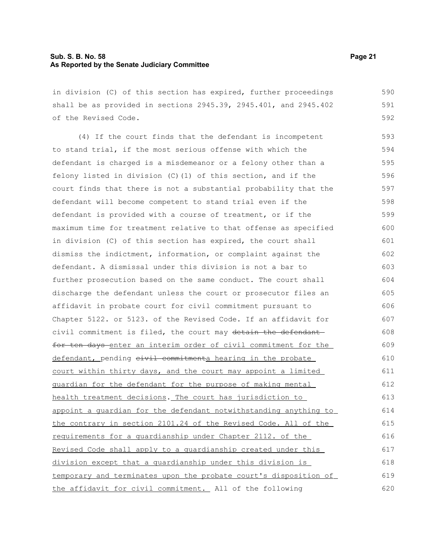#### **Sub. S. B. No. 58 Page 21 As Reported by the Senate Judiciary Committee**

in division (C) of this section has expired, further proceedings shall be as provided in sections 2945.39, 2945.401, and 2945.402 of the Revised Code. 590 591 592

(4) If the court finds that the defendant is incompetent to stand trial, if the most serious offense with which the defendant is charged is a misdemeanor or a felony other than a felony listed in division (C)(1) of this section, and if the court finds that there is not a substantial probability that the defendant will become competent to stand trial even if the defendant is provided with a course of treatment, or if the maximum time for treatment relative to that offense as specified in division (C) of this section has expired, the court shall dismiss the indictment, information, or complaint against the defendant. A dismissal under this division is not a bar to further prosecution based on the same conduct. The court shall discharge the defendant unless the court or prosecutor files an affidavit in probate court for civil commitment pursuant to Chapter 5122. or 5123. of the Revised Code. If an affidavit for civil commitment is filed, the court may detain the defendant for ten days enter an interim order of civil commitment for the defendant, pending civil commitmenta hearing in the probate court within thirty days, and the court may appoint a limited guardian for the defendant for the purpose of making mental health treatment decisions. The court has jurisdiction to appoint a guardian for the defendant notwithstanding anything to the contrary in section 2101.24 of the Revised Code. All of the requirements for a guardianship under Chapter 2112. of the Revised Code shall apply to a guardianship created under this division except that a guardianship under this division is temporary and terminates upon the probate court's disposition of the affidavit for civil commitment. All of the following 593 594 595 596 597 598 599 600 601 602 603 604 605 606 607 608 609 610 611 612 613 614 615 616 617 618 619 620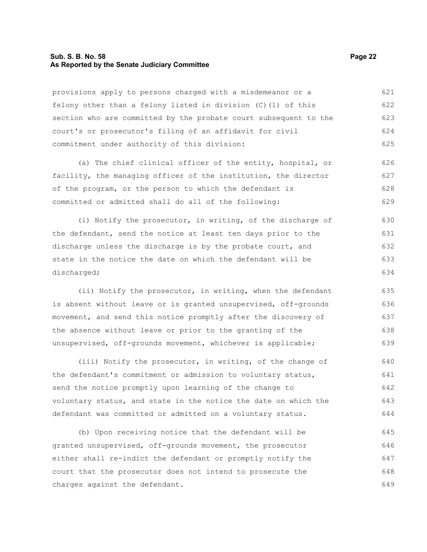#### **Sub. S. B. No. 58 Page 22 As Reported by the Senate Judiciary Committee**

provisions apply to persons charged with a misdemeanor or a felony other than a felony listed in division (C)(1) of this section who are committed by the probate court subsequent to the court's or prosecutor's filing of an affidavit for civil commitment under authority of this division: 621 622 623 624 625

(a) The chief clinical officer of the entity, hospital, or facility, the managing officer of the institution, the director of the program, or the person to which the defendant is committed or admitted shall do all of the following: 626 627 628 629

(i) Notify the prosecutor, in writing, of the discharge of the defendant, send the notice at least ten days prior to the discharge unless the discharge is by the probate court, and state in the notice the date on which the defendant will be discharged; 630 631 632 633 634

(ii) Notify the prosecutor, in writing, when the defendant is absent without leave or is granted unsupervised, off-grounds movement, and send this notice promptly after the discovery of the absence without leave or prior to the granting of the unsupervised, off-grounds movement, whichever is applicable;

(iii) Notify the prosecutor, in writing, of the change of the defendant's commitment or admission to voluntary status, send the notice promptly upon learning of the change to voluntary status, and state in the notice the date on which the defendant was committed or admitted on a voluntary status. 640 641 642 643 644

(b) Upon receiving notice that the defendant will be granted unsupervised, off-grounds movement, the prosecutor either shall re-indict the defendant or promptly notify the court that the prosecutor does not intend to prosecute the charges against the defendant. 645 646 647 648 649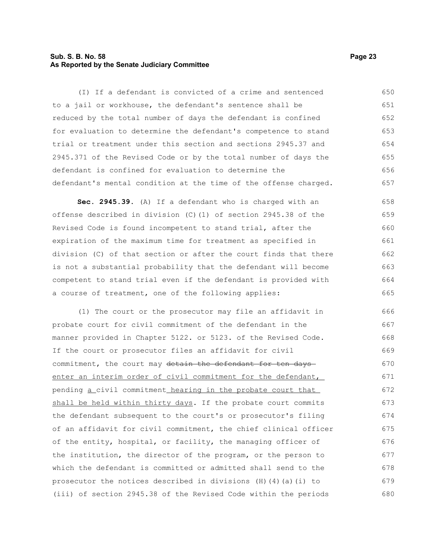#### **Sub. S. B. No. 58 Page 23 As Reported by the Senate Judiciary Committee**

(I) If a defendant is convicted of a crime and sentenced to a jail or workhouse, the defendant's sentence shall be reduced by the total number of days the defendant is confined for evaluation to determine the defendant's competence to stand trial or treatment under this section and sections 2945.37 and 2945.371 of the Revised Code or by the total number of days the defendant is confined for evaluation to determine the defendant's mental condition at the time of the offense charged. 650 651 652 653 654 655 656 657

**Sec. 2945.39.** (A) If a defendant who is charged with an offense described in division (C)(1) of section 2945.38 of the Revised Code is found incompetent to stand trial, after the expiration of the maximum time for treatment as specified in division (C) of that section or after the court finds that there is not a substantial probability that the defendant will become competent to stand trial even if the defendant is provided with a course of treatment, one of the following applies: 658 659 660 661 662 663 664 665

(1) The court or the prosecutor may file an affidavit in probate court for civil commitment of the defendant in the manner provided in Chapter 5122. or 5123. of the Revised Code. If the court or prosecutor files an affidavit for civil commitment, the court may detain the defendant for ten days enter an interim order of civil commitment for the defendant, pending a civil commitment hearing in the probate court that shall be held within thirty days. If the probate court commits the defendant subsequent to the court's or prosecutor's filing of an affidavit for civil commitment, the chief clinical officer of the entity, hospital, or facility, the managing officer of the institution, the director of the program, or the person to which the defendant is committed or admitted shall send to the prosecutor the notices described in divisions  $(H)(4)(a)(i)$  to (iii) of section 2945.38 of the Revised Code within the periods 666 667 668 669 670 671 672 673 674 675 676 677 678 679 680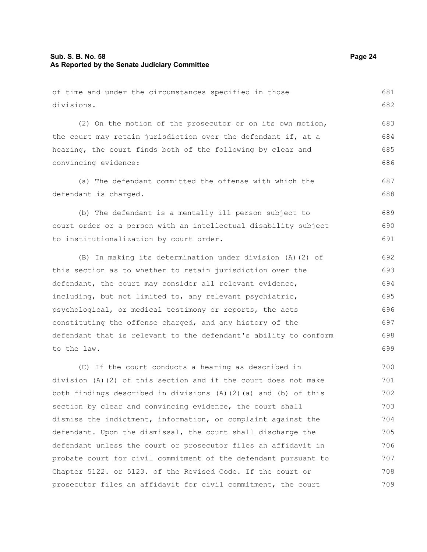| of time and under the circumstances specified in those           |     |
|------------------------------------------------------------------|-----|
| divisions.                                                       |     |
| (2) On the motion of the prosecutor or on its own motion,        | 683 |
| the court may retain jurisdiction over the defendant if, at a    | 684 |
| hearing, the court finds both of the following by clear and      | 685 |
| convincing evidence:                                             | 686 |
| (a) The defendant committed the offense with which the           | 687 |
| defendant is charged.                                            | 688 |
| (b) The defendant is a mentally ill person subject to            | 689 |
| court order or a person with an intellectual disability subject  | 690 |
| to institutionalization by court order.                          | 691 |
| (B) In making its determination under division (A) (2) of        | 692 |
| this section as to whether to retain jurisdiction over the       | 693 |
| defendant, the court may consider all relevant evidence,         | 694 |
| including, but not limited to, any relevant psychiatric,         | 695 |
| psychological, or medical testimony or reports, the acts         | 696 |
| constituting the offense charged, and any history of the         |     |
| defendant that is relevant to the defendant's ability to conform |     |
| to the law.                                                      | 699 |
| (C) If the court conducts a hearing as described in              | 700 |
| division (A)(2) of this section and if the court does not make   | 701 |
| both findings described in divisions (A) (2) (a) and (b) of this | 702 |
| section by clear and convincing evidence, the court shall        | 703 |
| dismiss the indictment, information, or complaint against the    | 704 |
| defendant. Upon the dismissal, the court shall discharge the     | 705 |
| defendant unless the court or prosecutor files an affidavit in   | 706 |
| probate court for civil commitment of the defendant pursuant to  | 707 |

Chapter 5122. or 5123. of the Revised Code. If the court or prosecutor files an affidavit for civil commitment, the court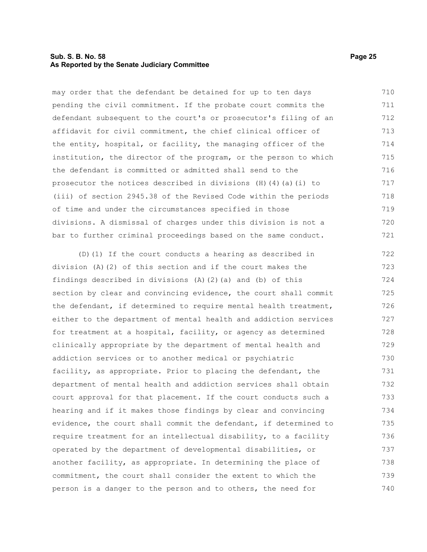#### **Sub. S. B. No. 58 Page 25 As Reported by the Senate Judiciary Committee**

may order that the defendant be detained for up to ten days pending the civil commitment. If the probate court commits the defendant subsequent to the court's or prosecutor's filing of an affidavit for civil commitment, the chief clinical officer of the entity, hospital, or facility, the managing officer of the institution, the director of the program, or the person to which the defendant is committed or admitted shall send to the prosecutor the notices described in divisions  $(H)$  (4)(a)(i) to (iii) of section 2945.38 of the Revised Code within the periods of time and under the circumstances specified in those divisions. A dismissal of charges under this division is not a bar to further criminal proceedings based on the same conduct. 710 711 712 713 714 715 716 717 718 719 720 721

(D)(1) If the court conducts a hearing as described in division (A)(2) of this section and if the court makes the findings described in divisions (A)(2)(a) and (b) of this section by clear and convincing evidence, the court shall commit the defendant, if determined to require mental health treatment, either to the department of mental health and addiction services for treatment at a hospital, facility, or agency as determined clinically appropriate by the department of mental health and addiction services or to another medical or psychiatric facility, as appropriate. Prior to placing the defendant, the department of mental health and addiction services shall obtain court approval for that placement. If the court conducts such a hearing and if it makes those findings by clear and convincing evidence, the court shall commit the defendant, if determined to require treatment for an intellectual disability, to a facility operated by the department of developmental disabilities, or another facility, as appropriate. In determining the place of commitment, the court shall consider the extent to which the person is a danger to the person and to others, the need for 722 723 724 725 726 727 728 729 730 731 732 733 734 735 736 737 738 739 740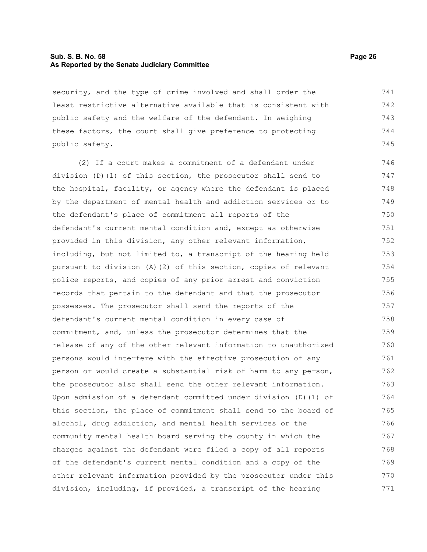#### **Sub. S. B. No. 58 Page 26 As Reported by the Senate Judiciary Committee**

security, and the type of crime involved and shall order the least restrictive alternative available that is consistent with public safety and the welfare of the defendant. In weighing these factors, the court shall give preference to protecting public safety. 741 742 743 744 745

(2) If a court makes a commitment of a defendant under division (D)(1) of this section, the prosecutor shall send to the hospital, facility, or agency where the defendant is placed by the department of mental health and addiction services or to the defendant's place of commitment all reports of the defendant's current mental condition and, except as otherwise provided in this division, any other relevant information, including, but not limited to, a transcript of the hearing held pursuant to division (A)(2) of this section, copies of relevant police reports, and copies of any prior arrest and conviction records that pertain to the defendant and that the prosecutor possesses. The prosecutor shall send the reports of the defendant's current mental condition in every case of commitment, and, unless the prosecutor determines that the release of any of the other relevant information to unauthorized persons would interfere with the effective prosecution of any person or would create a substantial risk of harm to any person, the prosecutor also shall send the other relevant information. Upon admission of a defendant committed under division (D)(1) of this section, the place of commitment shall send to the board of alcohol, drug addiction, and mental health services or the community mental health board serving the county in which the charges against the defendant were filed a copy of all reports of the defendant's current mental condition and a copy of the other relevant information provided by the prosecutor under this division, including, if provided, a transcript of the hearing 746 747 748 749 750 751 752 753 754 755 756 757 758 759 760 761 762 763 764 765 766 767 768 769 770 771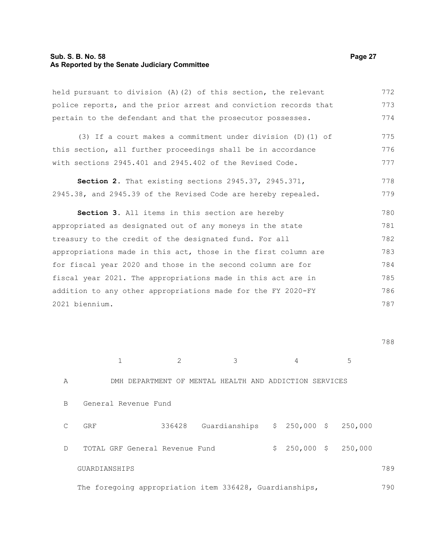#### **Sub. S. B. No. 58 Page 27 As Reported by the Senate Judiciary Committee**

held pursuant to division (A)(2) of this section, the relevant police reports, and the prior arrest and conviction records that pertain to the defendant and that the prosecutor possesses. 772 773 774

(3) If a court makes a commitment under division (D)(1) of this section, all further proceedings shall be in accordance with sections 2945.401 and 2945.402 of the Revised Code. 775 776 777

**Section 2.** That existing sections 2945.37, 2945.371, 2945.38, and 2945.39 of the Revised Code are hereby repealed. 778 779

**Section 3.** All items in this section are hereby appropriated as designated out of any moneys in the state treasury to the credit of the designated fund. For all appropriations made in this act, those in the first column are for fiscal year 2020 and those in the second column are for fiscal year 2021. The appropriations made in this act are in addition to any other appropriations made for the FY 2020-FY 2021 biennium. 780 781 782 783 784 785 786 787

788

1 2 3 4 5 A DMH DEPARTMENT OF MENTAL HEALTH AND ADDICTION SERVICES B General Revenue Fund C GRF 336428 Guardianships \$ 250,000 \$ 250,000 D TOTAL GRF General Revenue Fund \$ 250,000 \$ 250,000 GUARDIANSHIPS The foregoing appropriation item 336428, Guardianships, 789 790